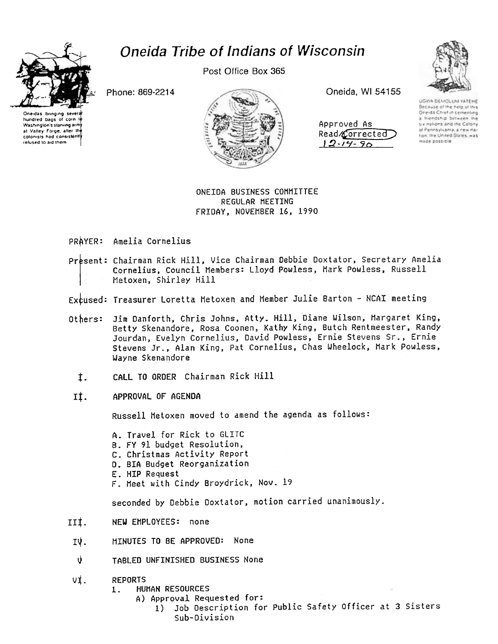

hundred bags of corn 1f Washington's starving arm at Valley Forge, after the colonists had consistently refused to aid them

## Oneida Tribe of Indians of Wisconsin

Post Office Box 365



| Approved As    |
|----------------|
| Read/Corrected |
|                |



UGWA DEMOLUM YATEHE Because of the help of this One-da Chief in cementing a friendship between the six nations and the Colony of Pennsylvania, a new nation, the United States, was made poss-ble

## ONEIDA BUSINESS COHHITTEE REGULAR MEETING FRIDAY, NOVEMBER 16, 1990

## PRAYER: Amelia Cornelius

- Present: Chairman Rick Hill, Vice Chairman Debbie Doxtator, Secretary Amelia Cornelius, Council Members: Lloyd Powless, Mark Powless, Russell Hetoxen, Shirley Hill
- Excused: Treasurer Loretta Metoxen and Member Julie Barton NCAI meeting
- Jim Danforth, Chris Johns, Atty. Hill, Diane Wilson, Hargaret King, Betty Skenandore, Rosa Coonen, Kathy King, Butch Rentmeester, Randy Jourdan, Evelyn Cornelius, David Powless, Ernie Stevens Sr., Ernie Stevens Jr., Alan King, Pat Cornelius, Chas Wheelock, Hark Powless, \Jayne Skenandore Others:
	- $t.$  CALL TO ORDER Chairman Rick Hill
- II. APPROVAL OF AGENDA

Russell Hetoxen moved to amend the agenda as follows:

A. Travel for Rick to GLITC

- B. FY 91 budget Resolution,
- C. Christmas Activity Report
- D. BIA Budget Reorganization
- E. HIP Request
- F. Meet with Cindy Broydrick. Nov. 19

seconded by Debbie Doxtator, motion carried unanimously-

- III. NEW EMPLOYEES: none
- MINUTES TO BE APPROVED: None IV.
- v TABLED UNFINISHED BUSINESS None
- vi. REPORTS<br>1. HU
	- HUNAN RESOURCES
		- A) Approval Requested for:
			- 1) Job Description for Public Safety Officer at 3 sisters Sub-Division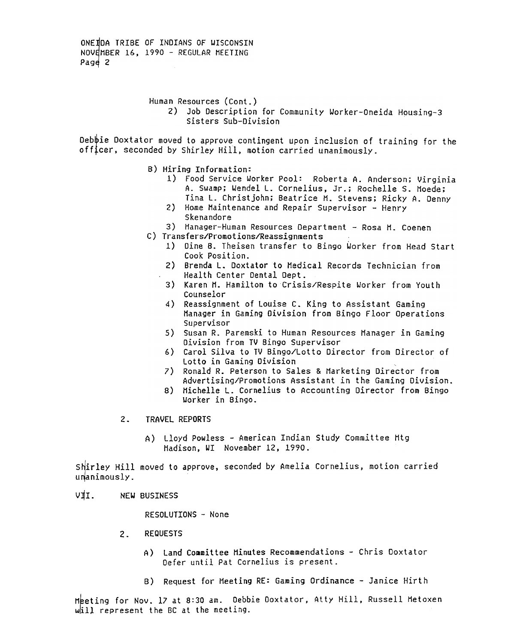ONE IDA TRIBE OF INDIANS OF WISCONSIN NOVEMBER 16, 1990 - REGULAR MEETING Page 2

Human Resources (Cont.)

2) Job Description for Community Worker-Oneida Housing-3 Sisters Sub-Division

Deb $\phi$ ie Doxtator moved to approve contingent upon inclusion of training for the officer, seconded by Shirley Hill, motion carried unanimously.

- B) Hiring Information:
	- 1) Food Service Worker Pool: Roberta A. Anderson; Virginia A. Swamp; Wendel L. Cornelius, Jr.; Rochelle S. Moede; Tina L. Christ john; Beatrice H. Stevens; Ricky A. Denny
	- 2) Home Maintenance and Repair Supervisor Henry Skenandore
- 3) Manager-Human Resources Department Rosa M. Coenen
- C) Transfers/Promotions/Reassignments
	- 1) Dine 8. Theisen transfer to Bingo Worker from Head Start Cook Position.
	- 2) Brenda L. Doxtator to Hedical Records Technician from Health Center Dental Dept.
	- 3) Karen M. Hamilton to Crisis/Respite Worker from Youth Counselor
	- 4) Reassignment of Louise C. King to Assistant Gaming Manager in Gaming Division from Bingo Floor Operations Supervisor
	- 5) Susan R. Paremski to Human Resources Manager in Gaming Division from TV Bingo Supervisor
	- 6) Carol Silva to TV Bingo/Lotto Director from Director of Lotto in Gaming Division
	- 7) Ronald R. Peterson to Sales & Harketing Director from Advertising/Promotions Assistant in the Gaming Division.
	- 8) Michelle L. Cornelius to Accounting Director from Bingo Worker in Bingo.
- 2. TRAVEL REPORTS
	- A) Lloyd Powless -American Indian study Committee Htg Hadison, WI November 12, 1990.

Shirley Hill moved to approve, seconded by Amelia Cornelius, motion carried unanimously.

VII. NEW BUSINESS

RESOLUTIONS - None

- 2. REQUESTS
	- A) Land Committee Hinutes Recommendations Chris Doxtator Defer until Pat Cornelius is present.
	- B) Request for Meeting RE: Gaming Ordinance -Janice Hirth

Meeting for Nov. 17 at 8:30 am. Debbie Doxtator, Atty Hill, Russell Metoxen will represent the BC at the meeting.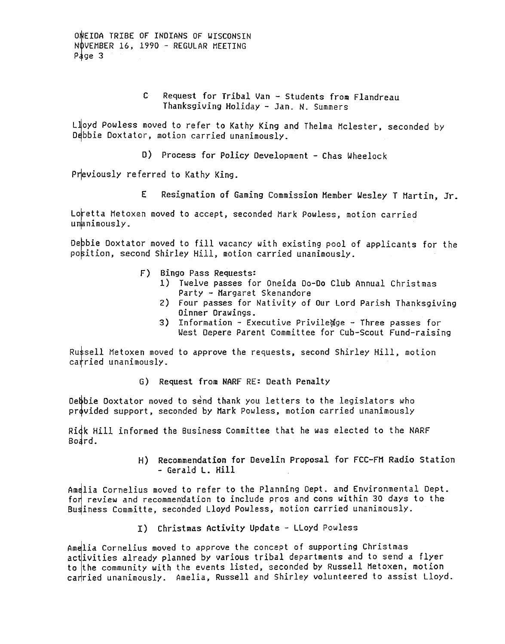ONEIDA TRIBE OF INDIANS OF WISCONSIN NOVEMBER 16, 1990 - REGULAR MEETING Page  $3$ 

> $\mathbf{C}$ Request for Tribal Van - Students from Flandreau Thanksgiving Holiday - Jan. N. Summers

Lloyd Powless moved to refer to Kathy King and Thelma Mclester, seconded by Debbie Doxtator, motion carried unanimously.

D) Process for Policy Development - Chas Wheelock

Previously referred to Kathy King.

E. Resignation of Gaming Commission Member Wesley T Martin, Jr.

Loretta Metoxen moved to accept, seconded Mark Powless, motion carried unanimously.

Debbie Doxtator moved to fill vacancy with existing pool of applicants for the position, second Shirley Hill, motion carried unanimously.

- F) Bingo Pass Requests:
	- 1) Twelve passes for Oneida Do-Do Club Annual Christmas Party - Margaret Skenandore
	- 2) Four passes for Nativity of Our Lord Parish Thanksgiving Oinner Drawings.
	- 3) Information Executive Priviledge Three passes for West Depere Parent Committee for Cub-Scout Fund-raising

Russell Metoxen moved to approve the requests, second Shirley Hill, motion carried unanimously.

G) Request from NARF RE: Death Penalty

Debbie Doxtator moved to send thank you letters to the legislators who provided support, seconded by Mark Powless, motion carried unanimously

Rick Hill informed the Business Committee that he was elected to the NARF Board.

> H) Recommendation for Develin Proposal for FCC-FM Radio Station - Gerald L. Hill

Amelia Cornelius moved to refer to the Planning Dept. and Environmental Dept. for review and recommendation to include pros and cons within 30 days to the Business Committe, seconded Lloyd Powless, motion carried unanimously.

I) Christmas Activity Update - LLoyd Powless

Amelia Cornelius moved to approve the concept of supporting Christmas activities already planned by various tribal departments and to send a flyer to the community with the events listed, seconded by Russell Metoxen, motion carried unanimously. Amelia, Russell and Shirley volunteered to assist Lloyd.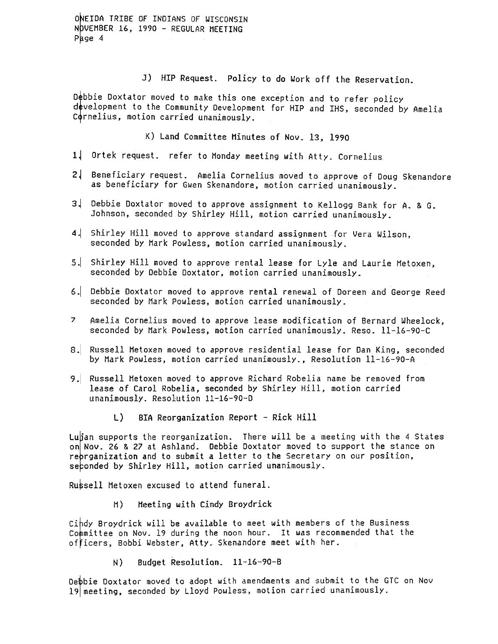ONEIDA TRIBE OF INDIANS OF WISCONSIN N UVEMBER 16, 1990 - REGULAR MEETING  $P$  age 4

J) HIP Request. Policy to do Work off the Reservation.

Debbie Doxtator moved to make this one exception and to refer policy development to the Community Development for HIP and IHS, seconded by Amelia Cornelius, motion carried unanimously.

K) Land Committee Hinutes of Nov. 13, 1990

- 1. Ortek request. refer to Monday meeting with Atty. Cornelius.
- 2. Beneficiary request. Amelia Cornelius moved to approve of Doug Skenandore as beneficiary for Gwen Skenandore, motion carried unanimously.
- 3. Debbie Doxtator moved to approve assignment to Kellogg Bank for A. & G. Johnson, seconded by Shirley Hill, motion carried unanimously.
- 4. Shirley Hill moved to approve standard assignment for Vera Wilson, seconded by Mark Powless, motion carried unanimously-
- 5.1 Shirley Hill moved to approve rental lease for Lyle and Laurie Metoxen, seconded by Debbie Doxtator, motion carried unanimously.
- 6.1 Debbie Doxtator moved to approve rental renewal of Doreen and George Reed seconded by Hark Powless, motion carried unanimously.
- 7 Amelia Cornelius moved to approve lease modification of Bernard Wheelock, seconded by Mark Powless, motion carried unanimously. Reso. 11-16-90-C
- 8. Russell Metoxen moved to approve residential lease for Dan King, seconded by Hark Powless, motion carried unanimously., Resolution ll-16-90-A
- 9. Russell Metoxen moved to approve Richard Robelia name be removed from lease of Carol Robelia, seconded by Shirley Hill, motion carried unanimously- Resolution 11-16-90-0
	- L) BIA Reorganization Report Rick Hill

Lugian supports the reorganization. There will be a meeting with the 4 States on Nov. 26 & 27 at Ashland. Debbie Doxtator moved to support the stance on rebrganization and to submit a letter to the Secretary on our position, seconded by Shirley Hill, motion carried unanimously.

Ru\$sell Hetoxen excused to attend funeral.

H) Heeting with Cindy Broydrick

Cihdy Broydrick will be available to meet with members of the Business Committee on Nov. 19 during the noon hour. It was recommended that the officers, Bobbi Webster, Atty. Skenandore meet with her.

N) Budget Resolution. 11-16-90-8

Depbie Doxtator moved to adopt with amendments and submit to the GTC on Nov 19 meeting, seconded by Lloyd Powless, motion carried unanimously.